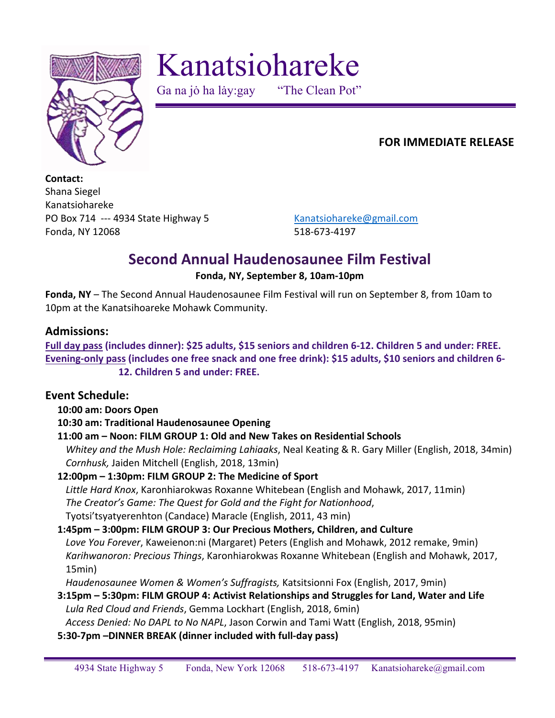

Kanatsiohareke

Ga na jo ha lay:gay "The Clean Pot"

## **FOR IMMEDIATE RELEASE**

**Contact:**  Shana Siegel Kanatsiohareke PO Box 714 --- 4934 State Highway 5 Kanatsiohareke@gmail.com Fonda, NY 12068 518-673-4197

# **Second Annual Haudenosaunee Film Festival**

#### **Fonda, NY, September 8, 10am-10pm**

**Fonda, NY** – The Second Annual Haudenosaunee Film Festival will run on September 8, from 10am to 10pm at the Kanatsihoareke Mohawk Community.

#### **Admissions:**

Full day pass (includes dinner): \$25 adults, \$15 seniors and children 6-12. Children 5 and under: FREE. Evening-only pass (includes one free snack and one free drink): \$15 adults, \$10 seniors and children 6-**12. Children 5 and under: FREE.** 

## **Event Schedule:**

#### **10:00 am: Doors Open**

## **10:30 am: Traditional Haudenosaunee Opening**

## 11:00 am - Noon: FILM GROUP 1: Old and New Takes on Residential Schools

*Whitey and the Mush Hole: Reclaiming Lahiaaks*, Neal Keating & R. Gary Miller (English, 2018, 34min) *Cornhusk,* Jaiden Mitchell (English, 2018, 13min)

## **12:00pm – 1:30pm: FILM GROUP 2: The Medicine of Sport**

Little Hard Knox, Karonhiarokwas Roxanne Whitebean (English and Mohawk, 2017, 11min) The Creator's Game: The Quest for Gold and the Fight for Nationhood, Tyotsi'tsyatyerenhton (Candace) Maracle (English, 2011, 43 min)

#### **1:45pm – 3:00pm: FILM GROUP 3: Our Precious Mothers, Children, and Culture**

Love You Forever, Kaweienon:ni (Margaret) Peters (English and Mohawk, 2012 remake, 9min) Karihwanoron: Precious Things, Karonhiarokwas Roxanne Whitebean (English and Mohawk, 2017, 15min)

Haudenosaunee Women & Women's Suffragists, Katsitsionni Fox (English, 2017, 9min)

**3:15pm – 5:30pm: FILM GROUP 4: Activist Relationships and Struggles for Land, Water and Life** Lula Red Cloud and Friends, Gemma Lockhart (English, 2018, 6min)

*Access Denied: No DAPL to No NAPL, Jason Corwin and Tami Watt (English, 2018, 95min)* 

**5:30-7pm –DINNER BREAK (dinner included with full-day pass)**